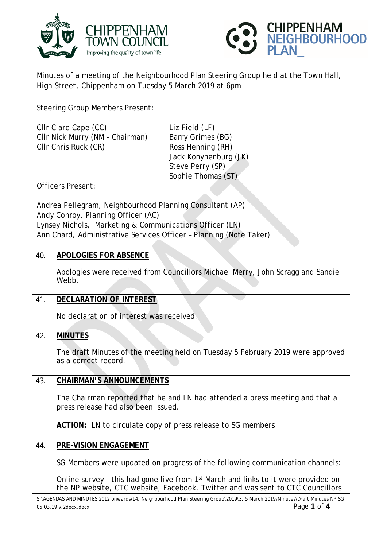



Minutes of a meeting of the Neighbourhood Plan Steering Group held at the Town Hall, High Street, Chippenham on Tuesday 5 March 2019 at 6pm

Steering Group Members Present:

| CIIr Clare Cape (CC)            | Liz Field (LF)        |
|---------------------------------|-----------------------|
| CIIr Nick Murry (NM - Chairman) | Barry Grimes (BG)     |
| CIIr Chris Ruck (CR)            | Ross Henning (RH)     |
|                                 | Jack Konynenburg (JK) |
|                                 | Steve Perry (SP)      |
|                                 | Sophie Thomas (ST)    |

Officers Present:

Andrea Pellegram, Neighbourhood Planning Consultant (AP) Andy Conroy, Planning Officer (AC) Lynsey Nichols, Marketing & Communications Officer (LN) Ann Chard, Administrative Services Officer – Planning (Note Taker)

| 40. | <b>APOLOGIES FOR ABSENCE</b>                                                                                                                                                     |
|-----|----------------------------------------------------------------------------------------------------------------------------------------------------------------------------------|
|     | Apologies were received from Councillors Michael Merry, John Scragg and Sandie<br>Webb.                                                                                          |
| 41. | <b>DECLARATION OF INTEREST</b>                                                                                                                                                   |
|     | No declaration of interest was received.                                                                                                                                         |
| 42. | <b>MINUTES</b>                                                                                                                                                                   |
|     | The draft Minutes of the meeting held on Tuesday 5 February 2019 were approved<br>as a correct record.                                                                           |
| 43. | <b>CHAIRMAN'S ANNOUNCEMENTS</b>                                                                                                                                                  |
|     | The Chairman reported that he and LN had attended a press meeting and that a<br>press release had also been issued.                                                              |
|     | ACTION: LN to circulate copy of press release to SG members                                                                                                                      |
| 44. | PRE-VISION ENGAGEMENT                                                                                                                                                            |
|     | SG Members were updated on progress of the following communication channels:                                                                                                     |
|     | Online survey - this had gone live from 1 <sup>st</sup> March and links to it were provided on<br>the NP website, CTC website, Facebook, Twitter and was sent to CTC Councillors |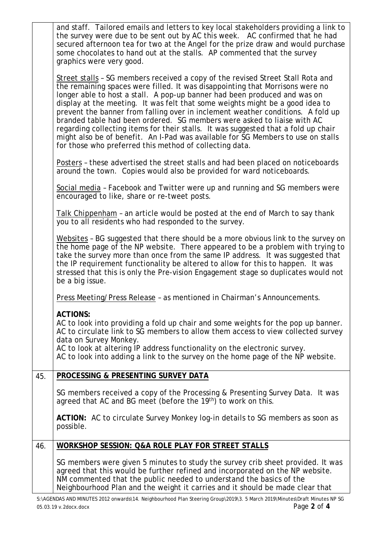|     | and staff. Tailored emails and letters to key local stakeholders providing a link to<br>the survey were due to be sent out by AC this week. AC confirmed that he had<br>secured afternoon tea for two at the Angel for the prize draw and would purchase<br>some chocolates to hand out at the stalls. AP commented that the survey                                                                                                                                                                                                                                                                                                                                                                                               |
|-----|-----------------------------------------------------------------------------------------------------------------------------------------------------------------------------------------------------------------------------------------------------------------------------------------------------------------------------------------------------------------------------------------------------------------------------------------------------------------------------------------------------------------------------------------------------------------------------------------------------------------------------------------------------------------------------------------------------------------------------------|
|     | graphics were very good.                                                                                                                                                                                                                                                                                                                                                                                                                                                                                                                                                                                                                                                                                                          |
|     | Street stalls - SG members received a copy of the revised Street Stall Rota and<br>the remaining spaces were filled. It was disappointing that Morrisons were no<br>longer able to host a stall. A pop-up banner had been produced and was on<br>display at the meeting. It was felt that some weights might be a good idea to<br>prevent the banner from falling over in inclement weather conditions. A fold up<br>branded table had been ordered. SG members were asked to liaise with AC<br>regarding collecting items for their stalls. It was suggested that a fold up chair<br>might also be of benefit. An I-Pad was available for SG Members to use on stalls<br>for those who preferred this method of collecting data. |
|     | Posters - these advertised the street stalls and had been placed on noticeboards<br>around the town. Copies would also be provided for ward noticeboards.                                                                                                                                                                                                                                                                                                                                                                                                                                                                                                                                                                         |
|     | Social media - Facebook and Twitter were up and running and SG members were<br>encouraged to like, share or re-tweet posts.                                                                                                                                                                                                                                                                                                                                                                                                                                                                                                                                                                                                       |
|     | Talk Chippenham - an article would be posted at the end of March to say thank<br>you to all residents who had responded to the survey.                                                                                                                                                                                                                                                                                                                                                                                                                                                                                                                                                                                            |
|     | Websites - BG suggested that there should be a more obvious link to the survey on<br>the home page of the NP website. There appeared to be a problem with trying to<br>take the survey more than once from the same IP address. It was suggested that<br>the IP requirement functionality be altered to allow for this to happen. It was<br>stressed that this is only the Pre-vision Engagement stage so duplicates would not<br>be a big issue.                                                                                                                                                                                                                                                                                 |
|     | Press Meeting/Press Release - as mentioned in Chairman's Announcements.                                                                                                                                                                                                                                                                                                                                                                                                                                                                                                                                                                                                                                                           |
|     | <b>ACTIONS:</b><br>AC to look into providing a fold up chair and some weights for the pop up banner.<br>AC to circulate link to SG members to allow them access to view collected survey<br>data on Survey Monkey.<br>AC to look at altering IP address functionality on the electronic survey.<br>AC to look into adding a link to the survey on the home page of the NP website.                                                                                                                                                                                                                                                                                                                                                |
| 45. | PROCESSING & PRESENTING SURVEY DATA                                                                                                                                                                                                                                                                                                                                                                                                                                                                                                                                                                                                                                                                                               |
|     | SG members received a copy of the Processing & Presenting Survey Data. It was<br>agreed that AC and BG meet (before the 19 <sup>th</sup> ) to work on this.                                                                                                                                                                                                                                                                                                                                                                                                                                                                                                                                                                       |
|     | ACTION: AC to circulate Survey Monkey log-in details to SG members as soon as<br>possible.                                                                                                                                                                                                                                                                                                                                                                                                                                                                                                                                                                                                                                        |
| 46. | WORKSHOP SESSION: Q&A ROLE PLAY FOR STREET STALLS                                                                                                                                                                                                                                                                                                                                                                                                                                                                                                                                                                                                                                                                                 |
|     | SG members were given 5 minutes to study the survey crib sheet provided. It was<br>agreed that this would be further refined and incorporated on the NP website.<br>NM commented that the public needed to understand the basics of the<br>Neighbourhood Plan and the weight it carries and it should be made clear that                                                                                                                                                                                                                                                                                                                                                                                                          |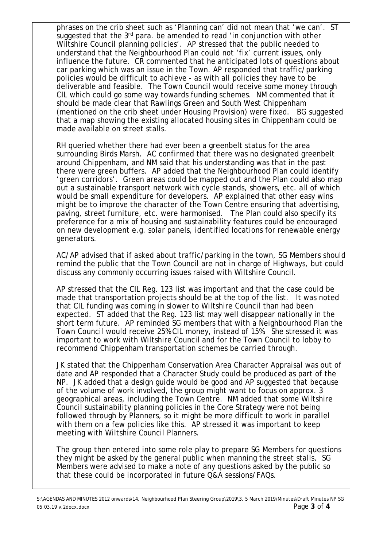phrases on the crib sheet such as 'Planning can' did not mean that 'we can'. ST suggested that the 3<sup>rd</sup> para. be amended to read 'in conjunction with other Wiltshire Council planning policies'. AP stressed that the public needed to understand that the Neighbourhood Plan could not 'fix' current issues, only influence the future. CR commented that he anticipated lots of questions about car parking which was an issue in the Town. AP responded that traffic/parking policies would be difficult to achieve - as with all policies they have to be deliverable and feasible. The Town Council would receive some money through CIL which could go some way towards funding schemes. NM commented that it should be made clear that Rawlings Green and South West Chippenham (mentioned on the crib sheet under Housing Provision) were fixed. BG suggested that a map showing the existing allocated housing sites in Chippenham could be made available on street stalls.

RH queried whether there had ever been a greenbelt status for the area surrounding Birds Marsh. AC confirmed that there was no designated greenbelt around Chippenham, and NM said that his understanding was that in the past there were green buffers. AP added that the Neighbourhood Plan could identify 'green corridors'. Green areas could be mapped out and the Plan could also map out a sustainable transport network with cycle stands, showers, etc. all of which would be small expenditure for developers. AP explained that other easy wins might be to improve the character of the Town Centre ensuring that advertising, paving, street furniture, etc. were harmonised. The Plan could also specify its preference for a mix of housing and sustainability features could be encouraged on new development e.g. solar panels, identified locations for renewable energy generators.

AC/AP advised that if asked about traffic/parking in the town, SG Members should remind the public that the Town Council are not in charge of Highways, but could discuss any commonly occurring issues raised with Wiltshire Council.

AP stressed that the CIL Reg. 123 list was important and that the case could be made that transportation projects should be at the top of the list. It was noted that CIL funding was coming in slower to Wiltshire Council than had been expected. ST added that the Reg. 123 list may well disappear nationally in the short term future. AP reminded SG members that with a Neighbourhood Plan the Town Council would receive 25% CIL money, instead of 15%. She stressed it was important to work with Wiltshire Council and for the Town Council to lobby to recommend Chippenham transportation schemes be carried through.

JK stated that the Chippenham Conservation Area Character Appraisal was out of date and AP responded that a Character Study could be produced as part of the NP. JK added that a design guide would be good and AP suggested that because of the volume of work involved, the group might want to focus on approx. 3 geographical areas, including the Town Centre. NM added that some Wiltshire Council sustainability planning policies in the Core Strategy were not being followed through by Planners, so it might be more difficult to work in parallel with them on a few policies like this. AP stressed it was important to keep meeting with Wiltshire Council Planners.

The group then entered into some role play to prepare SG Members for questions they might be asked by the general public when manning the street stalls. SG Members were advised to make a note of any questions asked by the public so that these could be incorporated in future Q&A sessions/FAQs.

S:\AGENDAS AND MINUTES 2012 onwards\14. Neighbourhood Plan Steering Group\2019\3. 5 March 2019\Minutes\Draft Minutes NP SG 05.03.19 v.2docx.docx Page **3** of **4**